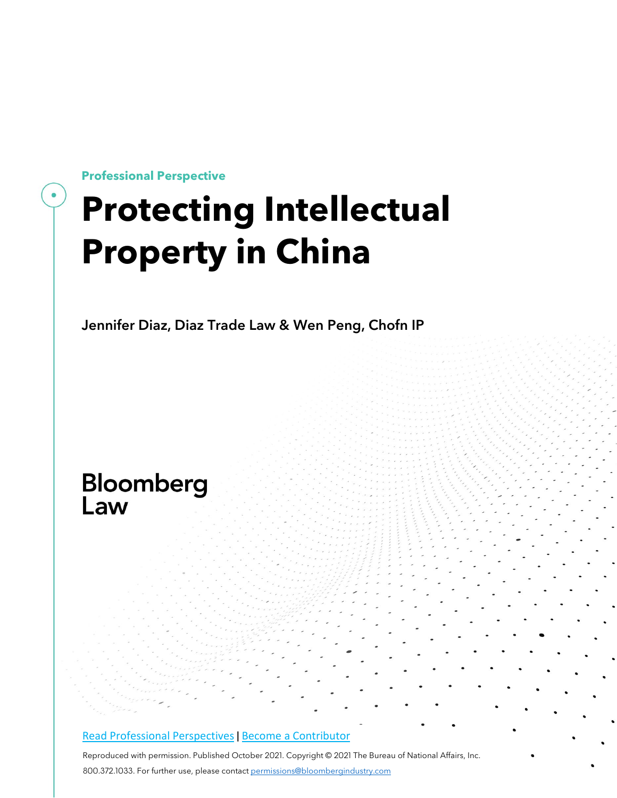**Professional Perspective**

# **Protecting Intellectual Property in China**

Jennifer Diaz, Diaz Trade Law & Wen Peng, Chofn IP

# Bloomberg Law

#### Read Professional [Perspectives](https://www.bloomberglaw.com/product/blaw/search/results/fce5c55b80fd6db95984633eb48fa7d5?utm_source=ACQ&utm_medium=PRP) | Become a [Contributor](https://pro.bloomberglaw.com/become-a-contributor/?utm_source=ACQ&utm_medium=PRP)

Reproduced with permission. Published October 2021. Copyright © 2021 The Bureau of National Affairs, Inc. 800.372.1033. For further use, please contac[t permissions@bloombergindustry.com](mailto:permissions@bloombergindustry.com)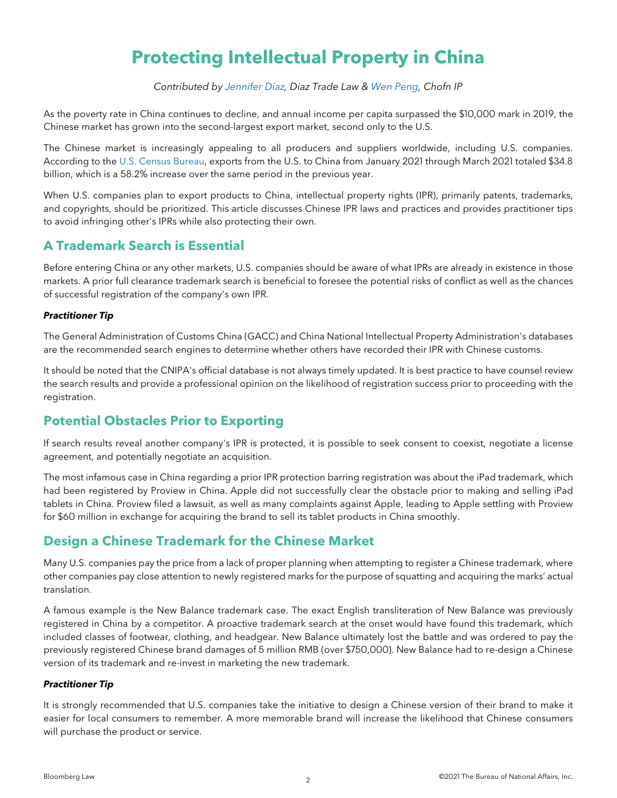# **Protecting Intellectual Property in China**

*Contributed by [Jennifer Diaz,](https://diaztradelaw.com/meet-the-team/attorneys/jennifer-diaz/) Diaz Trade Law & [Wen Peng,](http://en.chofn.com/Professionals/60a26cb71059bea14bc480b6/Wen_Peng) Chofn IP*

As the poverty rate in China continues to decline, and annual income per capita surpassed the \$10,000 mark in 2019, the Chinese market has grown into the second-largest export market, second only to the U.S.

The Chinese market is increasingly appealing to all producers and suppliers worldwide, including U.S. companies. According to the [U.S. Census Bureau,](https://www.census.gov/foreign-trade/balance/c5700.html) exports from the U.S. to China from January 2021 through March 2021 totaled \$34.8 billion, which is a 58.2% increase over the same period in the previous year.

When U.S. companies plan to export products to China, intellectual property rights (IPR), primarily patents, trademarks, and copyrights, should be prioritized. This article discusses Chinese IPR laws and practices and provides practitioner tips to avoid infringing other's IPRs while also protecting their own.

# **A Trademark Search is Essential**

Before entering China or any other markets, U.S. companies should be aware of what IPRs are already in existence in those markets. A prior full clearance trademark search is beneficial to foresee the potential risks of conflict as well as the chances of successful registration of the company's own IPR.

#### *Practitioner Tip*

The General Administration of Customs China (GACC) and China National Intellectual Property Administration's databases are the recommended search engines to determine whether others have recorded their IPR with Chinese customs.

It should be noted that the CNIPA's official database is not always timely updated. It is best practice to have counsel review the search results and provide a professional opinion on the likelihood of registration success prior to proceeding with the registration.

# **Potential Obstacles Prior to Exporting**

If search results reveal another company's IPR is protected, it is possible to seek consent to coexist, negotiate a license agreement, and potentially negotiate an acquisition.

The most infamous case in China regarding a prior IPR protection barring registration was about the iPad trademark, which had been registered by Proview in China. Apple did not successfully clear the obstacle prior to making and selling iPad tablets in China. Proview filed a lawsuit, as well as many complaints against Apple, leading to Apple settling with Proview for \$60 million in exchange for acquiring the brand to sell its tablet products in China smoothly.

# **Design a Chinese Trademark for the Chinese Market**

Many U.S. companies pay the price from a lack of proper planning when attempting to register a Chinese trademark, where other companies pay close attention to newly registered marks for the purpose of squatting and acquiring the marks' actual translation.

A famous example is the New Balance trademark case. The exact English transliteration of New Balance was previously registered in China by a competitor. A proactive trademark search at the onset would have found this trademark, which included classes of footwear, clothing, and headgear. New Balance ultimately lost the battle and was ordered to pay the previously registered Chinese brand damages of 5 million RMB (over \$750,000). New Balance had to re-design a Chinese version of its trademark and re-invest in marketing the new trademark.

#### *Practitioner Tip*

It is strongly recommended that U.S. companies take the initiative to design a Chinese version of their brand to make it easier for local consumers to remember. A more memorable brand will increase the likelihood that Chinese consumers will purchase the product or service.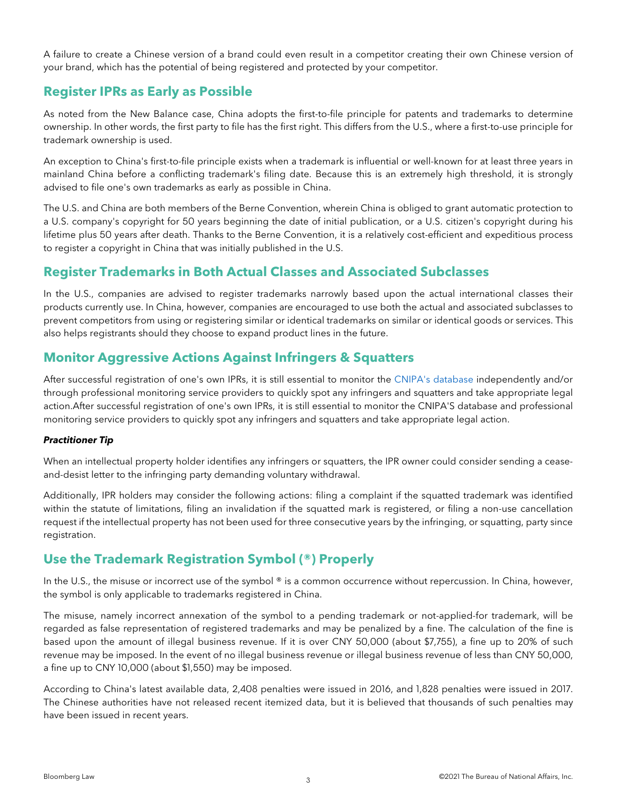A failure to create a Chinese version of a brand could even result in a competitor creating their own Chinese version of your brand, which has the potential of being registered and protected by your competitor.

# **Register IPRs as Early as Possible**

As noted from the New Balance case, China adopts the first-to-file principle for patents and trademarks to determine ownership. In other words, the first party to file has the first right. This differs from the U.S., where a first-to-use principle for trademark ownership is used.

An exception to China's first-to-file principle exists when a trademark is influential or well-known for at least three years in mainland China before a conflicting trademark's filing date. Because this is an extremely high threshold, it is strongly advised to file one's own trademarks as early as possible in China.

The U.S. and China are both members of the Berne Convention, wherein China is obliged to grant automatic protection to a U.S. company's copyright for 50 years beginning the date of initial publication, or a U.S. citizen's copyright during his lifetime plus 50 years after death. Thanks to the Berne Convention, it is a relatively cost-efficient and expeditious process to register a copyright in China that was initially published in the U.S.

# **Register Trademarks in Both Actual Classes and Associated Subclasses**

In the U.S., companies are advised to register trademarks narrowly based upon the actual international classes their products currently use. In China, however, companies are encouraged to use both the actual and associated subclasses to prevent competitors from using or registering similar or identical trademarks on similar or identical goods or services. This also helps registrants should they choose to expand product lines in the future.

# **Monitor Aggressive Actions Against Infringers & Squatters**

After successful registration of one's own IPRs, it is still essential to monitor the [CNIPA's database](http://wcjs.sbj.cnipa.gov.cn/) independently and/or through professional monitoring service providers to quickly spot any infringers and squatters and take appropriate legal action.After successful registration of one's own IPRs, it is still essential to monitor the CNIPA'S database and professional monitoring service providers to quickly spot any infringers and squatters and take appropriate legal action.

#### *Practitioner Tip*

When an intellectual property holder identifies any infringers or squatters, the IPR owner could consider sending a ceaseand-desist letter to the infringing party demanding voluntary withdrawal.

Additionally, IPR holders may consider the following actions: filing a complaint if the squatted trademark was identified within the statute of limitations, filing an invalidation if the squatted mark is registered, or filing a non-use cancellation request if the intellectual property has not been used for three consecutive years by the infringing, or squatting, party since registration.

# **Use the Trademark Registration Symbol (®) Properly**

In the U.S., the misuse or incorrect use of the symbol ® is a common occurrence without repercussion. In China, however, the symbol is only applicable to trademarks registered in China.

The misuse, namely incorrect annexation of the symbol to a pending trademark or not-applied-for trademark, will be regarded as false representation of registered trademarks and may be penalized by a fine. The calculation of the fine is based upon the amount of illegal business revenue. If it is over CNY 50,000 (about \$7,755), a fine up to 20% of such revenue may be imposed. In the event of no illegal business revenue or illegal business revenue of less than CNY 50,000, a fine up to CNY 10,000 (about \$1,550) may be imposed.

According to China's latest available data, 2,408 penalties were issued in 2016, and 1,828 penalties were issued in 2017. The Chinese authorities have not released recent itemized data, but it is believed that thousands of such penalties may have been issued in recent years.